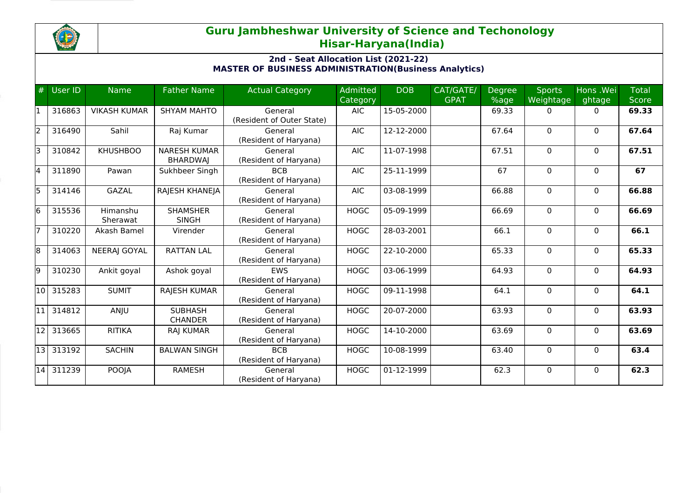

## **Guru Jambheshwar University of Science and Techonology Hisar-Haryana(India)**

## **2nd - Seat Allocation List (2021-22) MASTER OF BUSINESS ADMINISTRATION(Business Analytics)**

| #   | User ID   | <b>Name</b>          | <b>Father Name</b>                     | <b>Actual Category</b>               | Admitted<br>Category | <b>DOB</b> | CAT/GATE/<br><b>GPAT</b> | <b>Degree</b><br>%age | <b>Sports</b><br>Weightage | Hons .Wei<br>ghtage | <b>Total</b><br><b>Score</b> |
|-----|-----------|----------------------|----------------------------------------|--------------------------------------|----------------------|------------|--------------------------|-----------------------|----------------------------|---------------------|------------------------------|
|     | 316863    | <b>VIKASH KUMAR</b>  | <b>SHYAM MAHTO</b>                     | General<br>(Resident of Outer State) | <b>AIC</b>           | 15-05-2000 |                          | 69.33                 | 0                          | 0                   | 69.33                        |
| l2  | 316490    | Sahil                | Raj Kumar                              | General<br>(Resident of Haryana)     | <b>AIC</b>           | 12-12-2000 |                          | 67.64                 | $\Omega$                   | $\Omega$            | 67.64                        |
| lз  | 310842    | <b>KHUSHBOO</b>      | <b>NARESH KUMAR</b><br><b>BHARDWAI</b> | General<br>(Resident of Haryana)     | <b>AIC</b>           | 11-07-1998 |                          | 67.51                 | $\Omega$                   | $\Omega$            | 67.51                        |
| l4  | 311890    | Pawan                | Sukhbeer Singh                         | <b>BCB</b><br>(Resident of Haryana)  | <b>AIC</b>           | 25-11-1999 |                          | 67                    | $\Omega$                   | $\Omega$            | 67                           |
| l5  | 314146    | <b>GAZAL</b>         | RAJESH KHANEJA                         | General<br>(Resident of Haryana)     | <b>AIC</b>           | 03-08-1999 |                          | 66.88                 | $\Omega$                   | $\Omega$            | 66.88                        |
| l6  | 315536    | Himanshu<br>Sherawat | <b>SHAMSHER</b><br><b>SINGH</b>        | General<br>(Resident of Haryana)     | <b>HOGC</b>          | 05-09-1999 |                          | 66.69                 | $\Omega$                   | $\mathbf{0}$        | 66.69                        |
|     | 310220    | Akash Bamel          | Virender                               | General<br>(Resident of Haryana)     | <b>HOGC</b>          | 28-03-2001 |                          | 66.1                  | $\Omega$                   | $\mathbf{0}$        | 66.1                         |
| 18  | 314063    | <b>NEERAJ GOYAL</b>  | <b>RATTAN LAL</b>                      | General<br>(Resident of Haryana)     | <b>HOGC</b>          | 22-10-2000 |                          | 65.33                 | $\Omega$                   | $\mathbf{0}$        | 65.33                        |
| l9  | 310230    | Ankit goyal          | Ashok goyal                            | <b>EWS</b><br>(Resident of Haryana)  | <b>HOGC</b>          | 03-06-1999 |                          | 64.93                 | 0                          | $\mathbf{0}$        | 64.93                        |
| 10  | 315283    | <b>SUMIT</b>         | <b>RAJESH KUMAR</b>                    | General<br>(Resident of Haryana)     | <b>HOGC</b>          | 09-11-1998 |                          | 64.1                  | 0                          | $\Omega$            | 64.1                         |
|     | 314812    | ANJU                 | <b>SUBHASH</b><br><b>CHANDER</b>       | General<br>(Resident of Haryana)     | <b>HOGC</b>          | 20-07-2000 |                          | 63.93                 | $\Omega$                   | $\Omega$            | 63.93                        |
| 112 | 313665    | <b>RITIKA</b>        | <b>RAJ KUMAR</b>                       | General<br>(Resident of Haryana)     | <b>HOGC</b>          | 14-10-2000 |                          | 63.69                 | $\Omega$                   | $\Omega$            | 63.69                        |
| 13  | 313192    | <b>SACHIN</b>        | <b>BALWAN SINGH</b>                    | <b>BCB</b><br>(Resident of Haryana)  | <b>HOGC</b>          | 10-08-1999 |                          | 63.40                 | 0                          | $\Omega$            | 63.4                         |
|     | 14 311239 | POOJA                | <b>RAMESH</b>                          | General<br>(Resident of Haryana)     | <b>HOGC</b>          | 01-12-1999 |                          | 62.3                  | $\Omega$                   | $\Omega$            | 62.3                         |